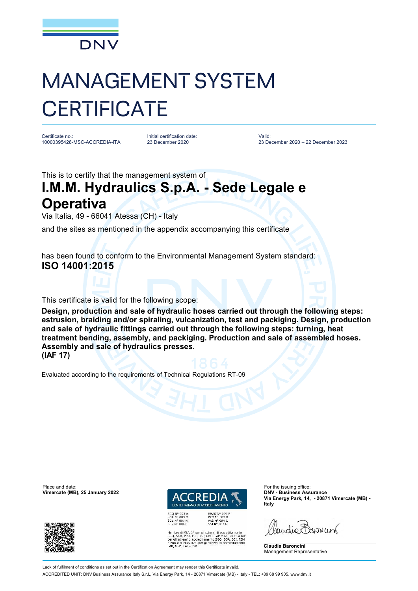

## MANAGEMENT SYSTEM **CERTIFICATE**

Certificate no.: 10000395428-MSC-ACCREDIA-ITA Initial certification date: 23 December 2020

Valid: 23 December 2020 – 22 December 2023

This is to certify that the management system of

## **I.M.M. Hydraulics S.p.A. - Sede Legale e Operativa**

Via Italia, 49 - 66041 Atessa (CH) - Italy

and the sites as mentioned in the appendix accompanying this certificate

has been found to conform to the Environmental Management System standard: **ISO 14001:2015**

This certificate is valid for the following scope:

**Design, production and sale of hydraulic hoses carried out through the following steps: estrusion, braiding and/or spiraling, vulcanization, test and packiging. Design, production and sale of hydraulic fittings carried out through the following steps: turning, heat treatment bending, assembly, and packiging. Production and sale of assembled hoses. Assembly and sale of hydraulics presses. (IAF 17)**

Evaluated according to the requirements of Technical Regulations RT-09

Place and date: For the issuing office:<br> **Place and date:** For the issuing office:<br> **Place and date:** For the issuing office:<br> **Place and date:** For the issuing office: **Vimercate (MB), 25 January 2022** 





EMAS Nº 009 P<br>PRD Nº 003 B<br>PRS Nº 094 C<br>SSI Nº 002 G MLA EA per gli schemi di accreditamento<br>PRD, PRS, ISP, GHG, LAB e LAT, di MLA IAF<br>emi di accreditamento SGQ, SGA, SSI, FSM<br>MRA ILAC per gli schemi di accreditamento<br>LAT e ISP **Via Energy Park, 14, - 20871 Vimercate (MB) - Italy**

audio Barren

**Claudia Baroncini** Management Representative

Lack of fulfilment of conditions as set out in the Certification Agreement may render this Certificate invalid

ACCREDITED UNIT: DNV Business Assurance Italy S.r.l., Via Energy Park, 14 - 20871 Vimercate (MB) - Italy - TEL: +39 68 99 905. [www.dnv.it](http://www.dnv.it)